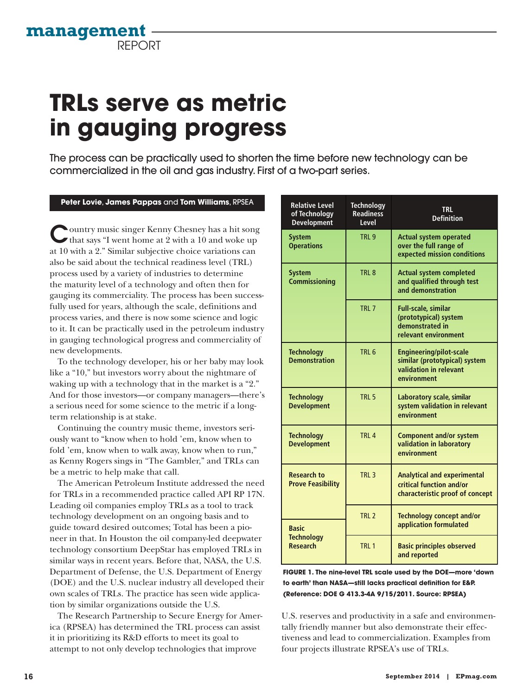**management** REPORT

# **TRLs serve as metric in gauging progress**

The process can be practically used to shorten the time before new technology can be commercialized in the oil and gas industry. First of a two-part series.

#### **Peter Lovie**, **James Pappas** and **Tom Williams**, RPSEA

**C**ountry music singer Kenny Chesney has a hit song  $\blacktriangleright$  that says "I went home at 2 with a 10 and woke up at 10 with a 2." Similar subjective choice variations can also be said about the technical readiness level (TRL) process used by a variety of industries to determine the maturity level of a technology and often then for gauging its commerciality. The process has been successfully used for years, although the scale, definitions and process varies, and there is now some science and logic to it. It can be practically used in the petroleum industry in gauging technological progress and commerciality of new developments.

To the technology developer, his or her baby may look like a "10," but investors worry about the nightmare of waking up with a technology that in the market is a "2." And for those investors—or company managers—there's a serious need for some science to the metric if a longterm relationship is at stake.

Continuing the country music theme, investors seriously want to "know when to hold 'em, know when to fold 'em, know when to walk away, know when to run," as Kenny Rogers sings in "The Gambler," and TRLs can be a metric to help make that call.

The American Petroleum Institute addressed the need for TRLs in a recommended practice called API RP 17N. Leading oil companies employ TRLs as a tool to track technology development on an ongoing basis and to guide toward desired outcomes; Total has been a pioneer in that. In Houston the oil company-led deepwater technology consortium DeepStar has employed TRLs in similar ways in recent years. Before that, NASA, the U.S. Department of Defense, the U.S. Department of Energy (DOE) and the U.S. nuclear industry all developed their own scales of TRLs. The practice has seen wide application by similar organizations outside the U.S.

The Research Partnership to Secure Energy for America (RPSEA) has determined the TRL process can assist it in prioritizing its R&D efforts to meet its goal to attempt to not only develop technologies that improve

| <b>Relative Level</b><br>of Technology<br><b>Development</b> | <b>Technology</b><br><b>Readiness</b><br>Level | <b>TRL</b><br><b>Definition</b>                                                                          |
|--------------------------------------------------------------|------------------------------------------------|----------------------------------------------------------------------------------------------------------|
| <b>System</b><br><b>Operations</b>                           | TRL <sub>9</sub>                               | <b>Actual system operated</b><br>over the full range of<br>expected mission conditions                   |
| <b>System</b><br><b>Commissioning</b>                        | TRL <sub>8</sub>                               | <b>Actual system completed</b><br>and qualified through test<br>and demonstration                        |
|                                                              | TRI <sub>7</sub>                               | <b>Full-scale, similar</b><br>(prototypical) system<br>demonstrated in<br>relevant environment           |
| <b>Technology</b><br><b>Demonstration</b>                    | TRI <sub>6</sub>                               | <b>Engineering/pilot-scale</b><br>similar (prototypical) system<br>validation in relevant<br>environment |
| <b>Technology</b><br><b>Development</b>                      | TRL <sub>5</sub>                               | Laboratory scale, similar<br>system validation in relevant<br>environment                                |
| <b>Technology</b><br><b>Development</b>                      | TRL <sub>4</sub>                               | <b>Component and/or system</b><br>validation in laboratory<br>environment                                |
| <b>Research to</b><br><b>Prove Feasibility</b>               | TRI <sub>3</sub>                               | <b>Analytical and experimental</b><br>critical function and/or<br>characteristic proof of concept        |
| <b>Basic</b>                                                 | TRL <sub>2</sub>                               | <b>Technology concept and/or</b><br>application formulated                                               |
| <b>Technology</b><br><b>Research</b>                         | <b>TRI 1</b>                                   | <b>Basic principles observed</b><br>and reported                                                         |

**FIGURE 1. The nine-level TRL scale used by the DOE—more 'down to earth' than NASA—still lacks practical definition for E&P. (Reference: DOE G 413.3-4A 9/15/2011. Source: RPSEA)**

U.S. reserves and productivity in a safe and environmentally friendly manner but also demonstrate their effectiveness and lead to commercialization. Examples from four projects illustrate RPSEA's use of TRLs.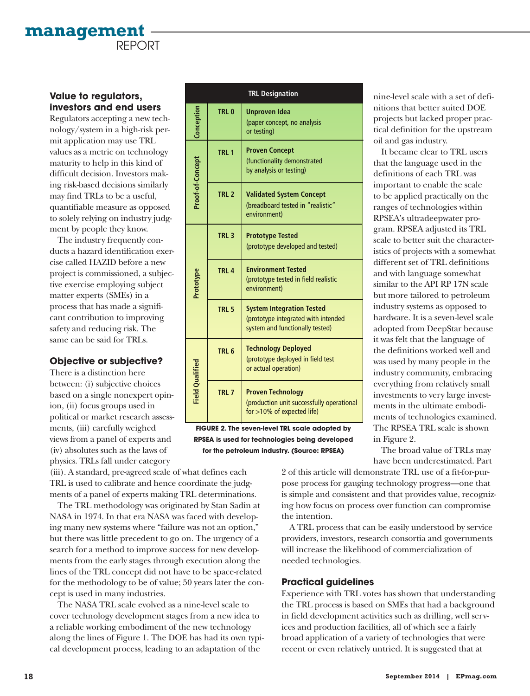### **Value to regulators, investors and end users**

REPORT

**managemen** 

Regulators accepting a new technology/system in a high-risk permit application may use TRL values as a metric on technology maturity to help in this kind of difficult decision. Investors making risk-based decisions similarly may find TRLs to be a useful, quantifiable measure as opposed to solely relying on industry judgment by people they know.

The industry frequently conducts a hazard identification exercise called HAZID before a new project is commissioned, a subjective exercise employing subject matter experts (SMEs) in a process that has made a significant contribution to improving safety and reducing risk. The same can be said for TRLs.

#### **Objective or subjective?**

There is a distinction here between: (i) subjective choices based on a single nonexpert opinion, (ii) focus groups used in political or market research assessments, (iii) carefully weighed views from a panel of experts and (iv) absolutes such as the laws of physics. TRLs fall under category

|                        |                                                                                                          | <b>TRL Designation</b>                                                                                     |  |  |  |  |
|------------------------|----------------------------------------------------------------------------------------------------------|------------------------------------------------------------------------------------------------------------|--|--|--|--|
| Conception             | TRL <sub>0</sub>                                                                                         | <b>Unproven Idea</b><br>(paper concept, no analysis<br>or testing)                                         |  |  |  |  |
| Proof-of-Concept       | TRL <sub>1</sub>                                                                                         | <b>Proven Concept</b><br>(functionality demonstrated<br>by analysis or testing)                            |  |  |  |  |
|                        | TRL <sub>2</sub><br><b>Validated System Concept</b><br>(breadboard tested in "realistic"<br>environment) |                                                                                                            |  |  |  |  |
|                        | TRL <sub>3</sub>                                                                                         | <b>Prototype Tested</b><br>(prototype developed and tested)                                                |  |  |  |  |
| Prototype              | TRL <sub>4</sub>                                                                                         | <b>Environment Tested</b><br>(prototype tested in field realistic<br>environment)                          |  |  |  |  |
|                        | TRL <sub>5</sub>                                                                                         | <b>System Integration Tested</b><br>(prototype integrated with intended<br>system and functionally tested) |  |  |  |  |
| <b>Field Qualified</b> | TRL <sub>6</sub>                                                                                         | <b>Technology Deployed</b><br>(prototype deployed in field test<br>or actual operation)                    |  |  |  |  |
|                        | TRL <sub>7</sub>                                                                                         | <b>Proven Technology</b><br>(production unit successfully operational<br>for $>10\%$ of expected life)     |  |  |  |  |

**FIGURE 2. The seven-level TRL scale adopted by RPSEA is used for technologies being developed for the petroleum industry. (Source: RPSEA)**

nine-level scale with a set of definitions that better suited DOE projects but lacked proper practical definition for the upstream oil and gas industry.

It became clear to TRL users that the language used in the definitions of each TRL was important to enable the scale to be applied practically on the ranges of technologies within RPSEA's ultradeepwater program. RPSEA adjusted its TRL scale to better suit the characteristics of projects with a somewhat different set of TRL definitions and with language somewhat similar to the API RP 17N scale but more tailored to petroleum industry systems as opposed to hardware. It is a seven-level scale adopted from DeepStar because it was felt that the language of the definitions worked well and was used by many people in the industry community, embracing everything from relatively small investments to very large investments in the ultimate embodiments of technologies examined. The RPSEA TRL scale is shown in Figure 2.

The broad value of TRLs may have been underestimated. Part

(iii). A standard, pre-agreed scale of what defines each TRL is used to calibrate and hence coordinate the judgments of a panel of experts making TRL determinations.

The TRL methodology was originated by Stan Sadin at NASA in 1974. In that era NASA was faced with developing many new systems where "failure was not an option," but there was little precedent to go on. The urgency of a search for a method to improve success for new developments from the early stages through execution along the lines of the TRL concept did not have to be space-related for the methodology to be of value; 50 years later the concept is used in many industries.

The NASA TRL scale evolved as a nine-level scale to cover technology development stages from a new idea to a reliable working embodiment of the new technology along the lines of Figure 1. The DOE has had its own typical development process, leading to an adaptation of the

2 of this article will demonstrate TRL use of a fit-for-purpose process for gauging technology progress—one that is simple and consistent and that provides value, recognizing how focus on process over function can compromise the intention.

A TRL process that can be easily understood by service providers, investors, research consortia and governments will increase the likelihood of commercialization of needed technologies.

## **Practical guidelines**

Experience with TRL votes has shown that understanding the TRL process is based on SMEs that had a background in field development activities such as drilling, well services and production facilities, all of which see a fairly broad application of a variety of technologies that were recent or even relatively untried. It is suggested that at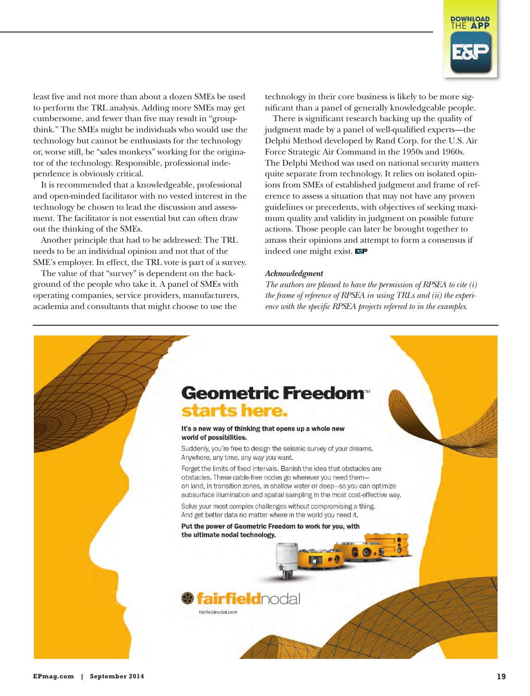

least five and not more than about a dozen SMEs be used to perform the TRL analysis. Adding more SMEs may get cumbersome, and fewer than five may result in "groupthink." The SMEs might be individuals who would use the technology but cannot be enthusiasts for the technology or, worse still, be "sales monkeys" working for the originator of the technology. Responsible, professional independence is obviously critical.

It is recommended that a knowledgeable, professional and open-minded facilitator with no vested interest in the technology be chosen to lead the discussion and assessment. The facilitator is not essential but can often draw out the thinking of the SMEs.

Another principle that had to be addressed: The TRL needs to be an individual opinion and not that of the SME's employer. In effect, the TRL vote is part of a survey.

The value of that "survey" is dependent on the background of the people who take it. A panel of SMEs with operating companies, service providers, manufacturers, academia and consultants that might choose to use the

technology in their core business is likely to be more significant than a panel of generally knowledgeable people.

There is significant research backing up the quality of judgment made by a panel of well-qualified experts—the Delphi Method developed by Rand Corp. for the U.S. Air Force Strategic Air Command in the 1950s and 1960s. The Delphi Method was used on national security matters quite separate from technology. It relies on isolated opinions from SMEs of established judgment and frame of reference to assess a situation that may not have any proven guidelines or precedents, with objectives of seeking maximum quality and validity in judgment on possible future actions. Those people can later be brought together to amass their opinions and attempt to form a consensus if indeed one might exist.

#### *Acknowledgment*

*The authors are pleased to have the permission of RPSEA to cite (i) the frame of reference of RPSEA in using TRLs and (ii) the experience with the specific RPSEA projects referred to in the examples.*

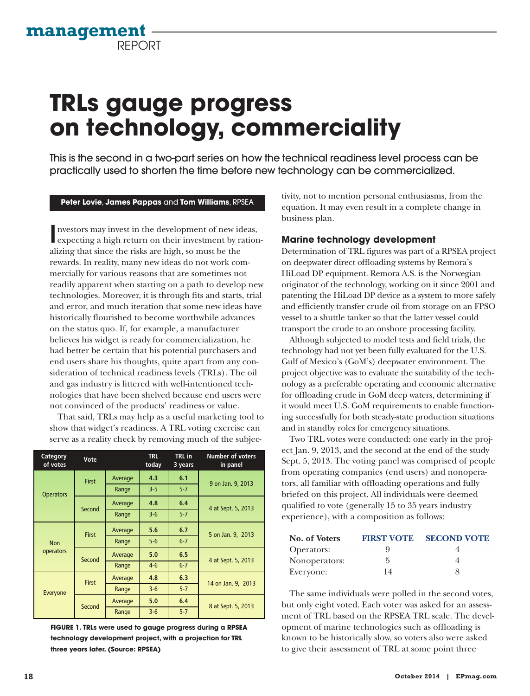**management** REPORT

# **TRLs gauge progress on technology, commerciality**

This is the second in a two-part series on how the technical readiness level process can be practically used to shorten the time before new technology can be commercialized.

#### **Peter Lovie**, **James Pappas** and **Tom Williams**, RPSEA

**I** nvestors may invest in the development of new ideas, expecting a high return on their investment by rationnvestors may invest in the development of new ideas, alizing that since the risks are high, so must be the rewards. In reality, many new ideas do not work commercially for various reasons that are sometimes not readily apparent when starting on a path to develop new technologies. Moreover, it is through fits and starts, trial and error, and much iteration that some new ideas have historically flourished to become worthwhile advances on the status quo. If, for example, a manufacturer believes his widget is ready for commercialization, he had better be certain that his potential purchasers and end users share his thoughts, quite apart from any consideration of technical readiness levels (TRLs). The oil and gas industry is littered with well-intentioned technologies that have been shelved because end users were not convinced of the products' readiness or value.

That said, TRLs may help as a useful marketing tool to show that widget's readiness. A TRL voting exercise can serve as a reality check by removing much of the subjec-

| Category<br>of votes    | Vote         |         | <b>TRL</b><br>today | TRL in<br>3 years | <b>Number of voters</b><br>in panel |  |
|-------------------------|--------------|---------|---------------------|-------------------|-------------------------------------|--|
| <b>Operators</b>        | <b>First</b> | Average | 4.3                 | 6.1               | 9 on Jan. 9, 2013                   |  |
|                         |              | Range   | $3 - 5$             | $5 - 7$           |                                     |  |
|                         | Second       | Average | 4.8                 | 6.4               | 4 at Sept. 5, 2013                  |  |
|                         |              | Range   | $3 - 6$             | $5 - 7$           |                                     |  |
| <b>Non</b><br>operators | <b>First</b> | Average | 5.6                 | 6.7               | 5 on Jan. 9, 2013                   |  |
|                         |              | Range   | $5-6$               | $6 - 7$           |                                     |  |
|                         | Second       | Average | 5.0                 | 6.5               | 4 at Sept. 5, 2013                  |  |
|                         |              | Range   | $4-6$               | $6 - 7$           |                                     |  |
| Everyone                | <b>First</b> | Average | 4.8                 | 6.3               | 14 on Jan. 9, 2013                  |  |
|                         |              | Range   | $3 - 6$             | $5 - 7$           |                                     |  |
|                         | Second       | Average | 5.0                 | 6.4               | 8 at Sept. 5, 2013                  |  |
|                         |              | Range   | $3 - 6$             | $5 - 7$           |                                     |  |

**FIGURE 1. TRLs were used to gauge progress during a RPSEA technology development project, with a projection for TRL three years later. (Source: RPSEA)**

tivity, not to mention personal enthusiasms, from the equation. It may even result in a complete change in business plan.

#### **Marine technology development**

Determination of TRL figures was part of a RPSEA project on deepwater direct offloading systems by Remora's HiLoad DP equipment. Remora A.S. is the Norwegian originator of the technology, working on it since 2001 and patenting the HiLoad DP device as a system to more safely and efficiently transfer crude oil from storage on an FPSO vessel to a shuttle tanker so that the latter vessel could transport the crude to an onshore processing facility.

Although subjected to model tests and field trials, the technology had not yet been fully evaluated for the U.S. Gulf of Mexico's (GoM's) deepwater environment. The project objective was to evaluate the suitability of the technology as a preferable operating and economic alternative for offloading crude in GoM deep waters, determining if it would meet U.S. GoM requirements to enable functioning successfully for both steady-state production situations and in standby roles for emergency situations.

Two TRL votes were conducted: one early in the project Jan. 9, 2013, and the second at the end of the study Sept. 5, 2013. The voting panel was comprised of people from operating companies (end users) and nonoperators, all familiar with offloading operations and fully briefed on this project. All individuals were deemed qualified to vote (generally 15 to 35 years industry experience), with a composition as follows:

| No. of Voters | <b>FIRST VOTE</b> | <b>SECOND VOTE</b> |
|---------------|-------------------|--------------------|
| Operators:    |                   |                    |
| Nonoperators: | h                 |                    |
| Everyone:     | 14                |                    |

The same individuals were polled in the second votes, but only eight voted. Each voter was asked for an assessment of TRL based on the RPSEA TRL scale. The development of marine technologies such as offloading is known to be historically slow, so voters also were asked to give their assessment of TRL at some point three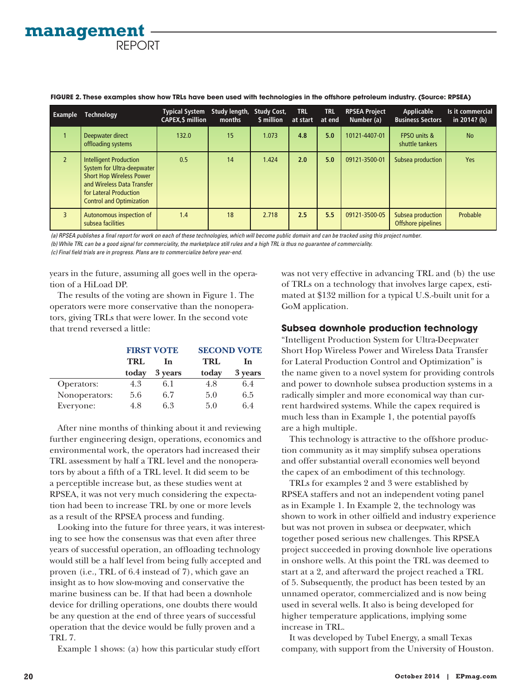**managemer** REPORT

| Example        | Technology                                                                                                                                                                                | <b>Typical System</b><br><b>CAPEX.S million</b> | Study length, Study Cost,<br>months | \$ million | <b>TRL</b><br>at start at end | <b>TRL</b> | <b>RPSEA Project</b><br>Number (a) | Applicable<br><b>Business Sectors</b>   | Is it commercial<br>in 2014? (b) |
|----------------|-------------------------------------------------------------------------------------------------------------------------------------------------------------------------------------------|-------------------------------------------------|-------------------------------------|------------|-------------------------------|------------|------------------------------------|-----------------------------------------|----------------------------------|
|                | Deepwater direct<br>offloading systems                                                                                                                                                    | 132.0                                           | 15                                  | 1.073      | 4.8                           | 5.0        | 10121-4407-01                      | FPSO units &<br>shuttle tankers         | <b>No</b>                        |
| $\overline{2}$ | <b>Intelligent Production</b><br>System for Ultra-deepwater<br><b>Short Hop Wireless Power</b><br>and Wireless Data Transfer<br>for Lateral Production<br><b>Control and Optimization</b> | 0.5                                             | 14                                  | 1.424      | 2.0                           | 5.0        | 09121-3500-01                      | Subsea production                       | Yes                              |
| 3              | Autonomous inspection of<br>subsea facilities                                                                                                                                             | 1.4                                             | 18                                  | 2.718      | 2.5                           | 5.5        | 09121-3500-05                      | Subsea production<br>Offshore pipelines | Probable                         |

**FIGURE 2. These examples show how TRLs have been used with technologies in the offshore petroleum industry. (Source: RPSEA)**

*(a) RPSEA publishes a final report for work on each of these technologies, which will become public domain and can be tracked using this project number. (b) While TRL can be a good signal for commerciality, the marketplace still rules and a high TRL is thus no guarantee of commerciality.*

*(c) Final field trials are in progress. Plans are to commercialize before year-end.*

years in the future, assuming all goes well in the operation of a HiLoad DP.

The results of the voting are shown in Figure 1. The operators were more conservative than the nonoperators, giving TRLs that were lower. In the second vote that trend reversed a little:

|               |           | <b>FIRST VOTE</b> |       | <b>SECOND VOTE</b> |  |
|---------------|-----------|-------------------|-------|--------------------|--|
|               | TRL<br>In |                   | TRL   | In                 |  |
|               | today     | 3 years           | today | 3 years            |  |
| Operators:    | 4.3       | 6.1               | 4.8   | 6.4                |  |
| Nonoperators: | 5.6       | 6.7               | 5.0   | 6.5                |  |
| Everyone:     | 4.8       | 63                | 5.0   | 64                 |  |

After nine months of thinking about it and reviewing further engineering design, operations, economics and environmental work, the operators had increased their TRL assessment by half a TRL level and the nonoperators by about a fifth of a TRL level. It did seem to be a perceptible increase but, as these studies went at RPSEA, it was not very much considering the expectation had been to increase TRL by one or more levels as a result of the RPSEA process and funding.

Looking into the future for three years, it was interesting to see how the consensus was that even after three years of successful operation, an offloading technology would still be a half level from being fully accepted and proven (i.e., TRL of 6.4 instead of 7), which gave an insight as to how slow-moving and conservative the marine business can be. If that had been a downhole device for drilling operations, one doubts there would be any question at the end of three years of successful operation that the device would be fully proven and a TRL 7.

Example 1 shows: (a) how this particular study effort

was not very effective in advancing TRL and (b) the use of TRLs on a technology that involves large capex, estimated at \$132 million for a typical U.S.-built unit for a GoM application.

#### **Subsea downhole production technology**

"Intelligent Production System for Ultra-Deepwater Short Hop Wireless Power and Wireless Data Transfer for Lateral Production Control and Optimization" is the name given to a novel system for providing controls and power to downhole subsea production systems in a radically simpler and more economical way than current hardwired systems. While the capex required is much less than in Example 1, the potential payoffs are a high multiple.

This technology is attractive to the offshore production community as it may simplify subsea operations and offer substantial overall economies well beyond the capex of an embodiment of this technology.

TRLs for examples 2 and 3 were established by RPSEA staffers and not an independent voting panel as in Example 1. In Example 2, the technology was shown to work in other oilfield and industry experience but was not proven in subsea or deepwater, which together posed serious new challenges. This RPSEA project succeeded in proving downhole live operations in onshore wells. At this point the TRL was deemed to start at a 2, and afterward the project reached a TRL of 5. Subsequently, the product has been tested by an unnamed operator, commercialized and is now being used in several wells. It also is being developed for higher temperature applications, implying some increase in TRL.

It was developed by Tubel Energy, a small Texas company, with support from the University of Houston.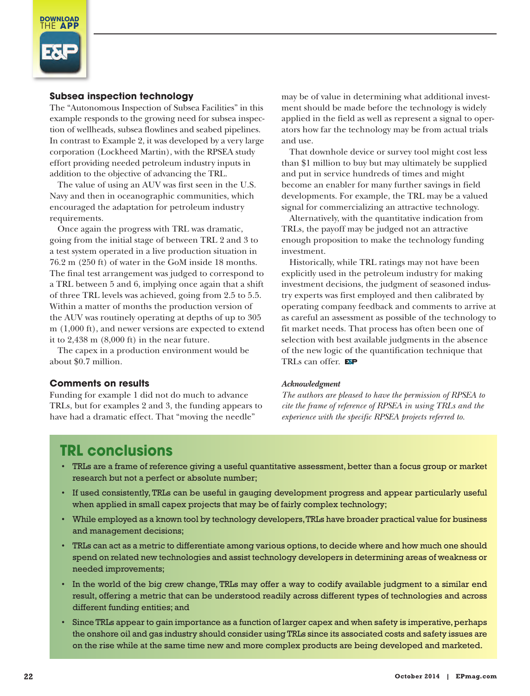

#### **Subsea inspection technology**

The "Autonomous Inspection of Subsea Facilities" in this example responds to the growing need for subsea inspection of wellheads, subsea flowlines and seabed pipelines. In contrast to Example 2, it was developed by a very large corporation (Lockheed Martin), with the RPSEA study effort providing needed petroleum industry inputs in addition to the objective of advancing the TRL.

The value of using an AUV was first seen in the U.S. Navy and then in oceanographic communities, which encouraged the adaptation for petroleum industry requirements.

Once again the progress with TRL was dramatic, going from the initial stage of between TRL 2 and 3 to a test system operated in a live production situation in 76.2 m (250 ft) of water in the GoM inside 18 months. The final test arrangement was judged to correspond to a TRL between 5 and 6, implying once again that a shift of three TRL levels was achieved, going from 2.5 to 5.5. Within a matter of months the production version of the AUV was routinely operating at depths of up to 305 m (1,000 ft), and newer versions are expected to extend it to 2,438 m (8,000 ft) in the near future.

The capex in a production environment would be about \$0.7 million.

#### **Comments on results**

Funding for example 1 did not do much to advance TRLs, but for examples 2 and 3, the funding appears to have had a dramatic effect. That "moving the needle"

may be of value in determining what additional investment should be made before the technology is widely applied in the field as well as represent a signal to operators how far the technology may be from actual trials and use.

That downhole device or survey tool might cost less than \$1 million to buy but may ultimately be supplied and put in service hundreds of times and might become an enabler for many further savings in field developments. For example, the TRL may be a valued signal for commercializing an attractive technology.

Alternatively, with the quantitative indication from TRLs, the payoff may be judged not an attractive enough proposition to make the technology funding investment.

Historically, while TRL ratings may not have been explicitly used in the petroleum industry for making investment decisions, the judgment of seasoned industry experts was first employed and then calibrated by operating company feedback and comments to arrive at as careful an assessment as possible of the technology to fit market needs. That process has often been one of selection with best available judgments in the absence of the new logic of the quantification technique that TRLs can offer. EP

#### *Acknowledgment*

*The authors are pleased to have the permission of RPSEA to cite the frame of reference of RPSEA in using TRLs and the experience with the specific RPSEA projects referred to.*

# **TRL conclusions**

- TRLs are a frame of reference giving a useful quantitative assessment, better than a focus group or market research but not a perfect or absolute number;
- If used consistently, TRLs can be useful in gauging development progress and appear particularly useful when applied in small capex projects that may be of fairly complex technology;
- While employed as a known tool by technology developers, TRLs have broader practical value for business and management decisions;
- **Stewart plants**  needed improvements; • TRLs can act as a metric to differentiate among various options, to decide where and how much one should spend on related new technologies and assist technology developers in determining areas of weakness or
- In the world of the big crew change, TRLs may offer a way to codify available judgment to a similar end **anticipation of**  result, offering a metric that can be understood readily across different types of technologies and across **imaging buried**  different funding entities; and
- Since TRLs appear to gain importance as a function of larger capex and when safety is imperative, perhaps **(Photo courtesy of Rob Stewart)** the onshore oil and gas industry should consider using TRLs since its associated costs and safety issues are on the rise while at the same time new and more complex products are being developed and marketed.